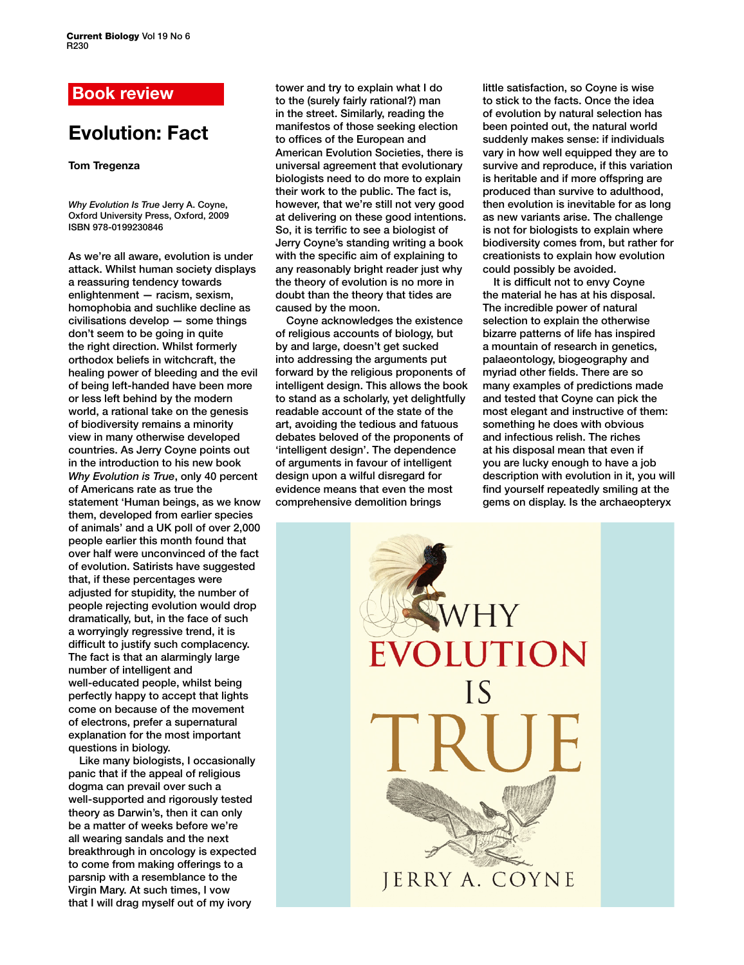## **Evolution: Fact**

## **Tom Tregenza**

*Why Evolution Is True* Jerry A. Coyne, Oxford University Press, Oxford, 2009 ISBN 978-0199230846

As we're all aware, evolution is under attack. Whilst human society displays a reassuring tendency towards enlightenment — racism, sexism, homophobia and suchlike decline as civilisations develop — some things don't seem to be going in quite the right direction. Whilst formerly orthodox beliefs in witchcraft, the healing power of bleeding and the evil of being left-handed have been more or less left behind by the modern world, a rational take on the genesis of biodiversity remains a minority view in many otherwise developed countries. As Jerry Coyne points out in the introduction to his new book *Why Evolution is True*, only 40 percent of Americans rate as true the statement 'Human beings, as we know them, developed from earlier species of animals' and a UK poll of over 2,000 people earlier this month found that over half were unconvinced of the fact of evolution. Satirists have suggested that, if these percentages were adjusted for stupidity, the number of people rejecting evolution would drop dramatically, but, in the face of such a worryingly regressive trend, it is difficult to justify such complacency. The fact is that an alarmingly large number of intelligent and well-educated people, whilst being perfectly happy to accept that lights come on because of the movement of electrons, prefer a supernatural explanation for the most important questions in biology.

Like many biologists, I occasionally panic that if the appeal of religious dogma can prevail over such a well-supported and rigorously tested theory as Darwin's, then it can only be a matter of weeks before we're all wearing sandals and the next breakthrough in oncology is expected to come from making offerings to a parsnip with a resemblance to the Virgin Mary. At such times, I vow that I will drag myself out of my ivory

tower and try to explain what I do to the (surely fairly rational?) man in the street. Similarly, reading the manifestos of those seeking election to offices of the European and American Evolution Societies, there is universal agreement that evolutionary biologists need to do more to explain their work to the public. The fact is, however, that we're still not very good at delivering on these good intentions. So, it is terrific to see a biologist of Jerry Coyne's standing writing a book with the specific aim of explaining to any reasonably bright reader just why the theory of evolution is no more in doubt than the theory that tides are caused by the moon. **Book review** little satisfaction, so Coyne is wise<br>to the fourth fight attended many to the facto Chapter is idea

> Coyne acknowledges the existence of religious accounts of biology, but by and large, doesn't get sucked into addressing the arguments put forward by the religious proponents of intelligent design. This allows the book to stand as a scholarly, yet delightfully readable account of the state of the art, avoiding the tedious and fatuous debates beloved of the proponents of 'intelligent design'. The dependence of arguments in favour of intelligent design upon a wilful disregard for evidence means that even the most comprehensive demolition brings

to stick to the facts. Once the idea of evolution by natural selection has been pointed out, the natural world suddenly makes sense: if individuals vary in how well equipped they are to survive and reproduce, if this variation is heritable and if more offspring are produced than survive to adulthood, then evolution is inevitable for as long as new variants arise. The challenge is not for biologists to explain where biodiversity comes from, but rather for creationists to explain how evolution could possibly be avoided.

It is difficult not to envy Coyne the material he has at his disposal. The incredible power of natural selection to explain the otherwise bizarre patterns of life has inspired a mountain of research in genetics, palaeontology, biogeography and myriad other fields. There are so many examples of predictions made and tested that Coyne can pick the most elegant and instructive of them: something he does with obvious and infectious relish. The riches at his disposal mean that even if you are lucky enough to have a job description with evolution in it, you will find yourself repeatedly smiling at the gems on display. Is the archaeopteryx